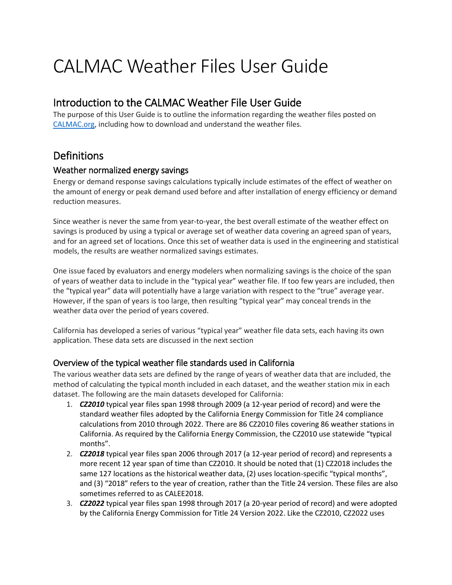# CALMAC Weather Files User Guide

### Introduction to the CALMAC Weather File User Guide

The purpose of this User Guide is to outline the information regarding the weather files posted on [CALMAC.org,](https://www.calmac.org/) including how to download and understand the weather files.

## **Definitions**

#### Weather normalized energy savings

Energy or demand response savings calculations typically include estimates of the effect of weather on the amount of energy or peak demand used before and after installation of energy efficiency or demand reduction measures.

Since weather is never the same from year-to-year, the best overall estimate of the weather effect on savings is produced by using a typical or average set of weather data covering an agreed span of years, and for an agreed set of locations. Once this set of weather data is used in the engineering and statistical models, the results are weather normalized savings estimates.

One issue faced by evaluators and energy modelers when normalizing savings is the choice of the span of years of weather data to include in the "typical year" weather file. If too few years are included, then the "typical year" data will potentially have a large variation with respect to the "true" average year. However, if the span of years is too large, then resulting "typical year" may conceal trends in the weather data over the period of years covered.

California has developed a series of various "typical year" weather file data sets, each having its own application. These data sets are discussed in the next section

#### Overview of the typical weather file standards used in California

The various weather data sets are defined by the range of years of weather data that are included, the method of calculating the typical month included in each dataset, and the weather station mix in each dataset. The following are the main datasets developed for California:

- 1. *CZ2010* typical year files span 1998 through 2009 (a 12-year period of record) and were the standard weather files adopted by the California Energy Commission for Title 24 compliance calculations from 2010 through 2022. There are 86 CZ2010 files covering 86 weather stations in California. As required by the California Energy Commission, the CZ2010 use statewide "typical months".
- 2. *CZ2018* typical year files span 2006 through 2017 (a 12-year period of record) and represents a more recent 12 year span of time than CZ2010. It should be noted that (1) CZ2018 includes the same 127 locations as the historical weather data, (2) uses location-specific "typical months", and (3) "2018" refers to the year of creation, rather than the Title 24 version. These files are also sometimes referred to as CALEE2018.
- 3. *CZ2022* typical year files span 1998 through 2017 (a 20-year period of record) and were adopted by the California Energy Commission for Title 24 Version 2022. Like the CZ2010, CZ2022 uses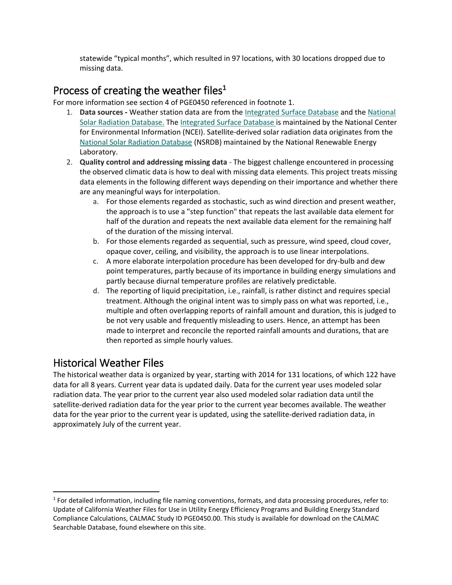statewide "typical months", which resulted in 97 locations, with 30 locations dropped due to missing data.

## Process of creating the weather files**<sup>1</sup>**

For more information see section 4 of PGE0450 referenced in footnote 1.

- 1. **Data sources -** Weather station data are from th[e Integrated Surface Database](https://www.ncdc.noaa.gov/isd) and the [National](https://nsrdb.nrel.gov/)  [Solar Radiation Database.](https://nsrdb.nrel.gov/) The [Integrated Surface Database](https://www.ncdc.noaa.gov/isd) is maintained by the National Center for Environmental Information (NCEI). Satellite-derived solar radiation data originates from the [National Solar Radiation Database](https://nsrdb.nrel.gov/) (NSRDB) maintained by the National Renewable Energy Laboratory.
- 2. **Quality control and addressing missing data** The biggest challenge encountered in processing the observed climatic data is how to deal with missing data elements. This project treats missing data elements in the following different ways depending on their importance and whether there are any meaningful ways for interpolation.
	- a. For those elements regarded as stochastic, such as wind direction and present weather, the approach is to use a "step function" that repeats the last available data element for half of the duration and repeats the next available data element for the remaining half of the duration of the missing interval.
	- b. For those elements regarded as sequential, such as pressure, wind speed, cloud cover, opaque cover, ceiling, and visibility, the approach is to use linear interpolations.
	- c. A more elaborate interpolation procedure has been developed for dry-bulb and dew point temperatures, partly because of its importance in building energy simulations and partly because diurnal temperature profiles are relatively predictable.
	- d. The reporting of liquid precipitation, i.e., rainfall, is rather distinct and requires special treatment. Although the original intent was to simply pass on what was reported, i.e., multiple and often overlapping reports of rainfall amount and duration, this is judged to be not very usable and frequently misleading to users. Hence, an attempt has been made to interpret and reconcile the reported rainfall amounts and durations, that are then reported as simple hourly values.

## Historical Weather Files

 $\overline{\phantom{a}}$ 

The historical weather data is organized by year, starting with 2014 for 131 locations, of which 122 have data for all 8 years. Current year data is updated daily. Data for the current year uses modeled solar radiation data. The year prior to the current year also used modeled solar radiation data until the satellite-derived radiation data for the year prior to the current year becomes available. The weather data for the year prior to the current year is updated, using the satellite-derived radiation data, in approximately July of the current year.

 $1$  For detailed information, including file naming conventions, formats, and data processing procedures, refer to: Update of California Weather Files for Use in Utility Energy Efficiency Programs and Building Energy Standard Compliance Calculations, CALMAC Study ID PGE0450.00. This study is available for download on the CALMAC Searchable Database, found elsewhere on this site.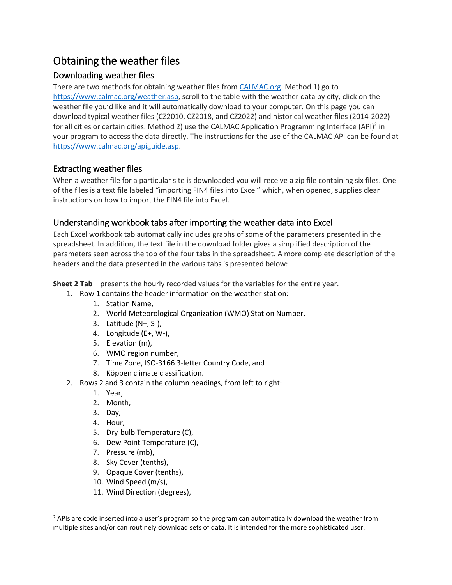# Obtaining the weather files

#### Downloading weather files

There are two methods for obtaining weather files fro[m CALMAC.org.](https://www.calmac.org/) Method 1) go to [https://www.calmac.org/weather.asp,](https://www.calmac.org/weather.asp) scroll to the table with the weather data by city, click on the weather file you'd like and it will automatically download to your computer. On this page you can download typical weather files (CZ2010, CZ2018, and CZ2022) and historical weather files (2014-2022) for all cities or certain cities. Method 2) use the CALMAC Application Programming Interface (API)<sup>2</sup> in your program to access the data directly. The instructions for the use of the CALMAC API can be found at [https://www.calmac.org/apiguide.asp.](https://www.calmac.org/apiguide.asp)

#### Extracting weather files

When a weather file for a particular site is downloaded you will receive a zip file containing six files. One of the files is a text file labeled "importing FIN4 files into Excel" which, when opened, supplies clear instructions on how to import the FIN4 file into Excel.

#### Understanding workbook tabs after importing the weather data into Excel

Each Excel workbook tab automatically includes graphs of some of the parameters presented in the spreadsheet. In addition, the text file in the download folder gives a simplified description of the parameters seen across the top of the four tabs in the spreadsheet. A more complete description of the headers and the data presented in the various tabs is presented below:

**Sheet 2 Tab** – presents the hourly recorded values for the variables for the entire year.

- 1. Row 1 contains the header information on the weather station:
	- 1. Station Name,
	- 2. World Meteorological Organization (WMO) Station Number,
	- 3. Latitude (N+, S-),
	- 4. Longitude (E+, W-),
	- 5. Elevation (m),
	- 6. WMO region number,
	- 7. Time Zone, ISO-3166 3-letter Country Code, and
	- 8. Köppen climate classification.
- 2. Rows 2 and 3 contain the column headings, from left to right:
	- 1. Year,
	- 2. Month,
	- 3. Day,
	- 4. Hour,

 $\overline{\phantom{a}}$ 

- 5. Dry-bulb Temperature (C),
- 6. Dew Point Temperature (C),
- 7. Pressure (mb),
- 8. Sky Cover (tenths),
- 9. Opaque Cover (tenths),
- 10. Wind Speed (m/s),
- 11. Wind Direction (degrees),

 $<sup>2</sup>$  APIs are code inserted into a user's program so the program can automatically download the weather from</sup> multiple sites and/or can routinely download sets of data. It is intended for the more sophisticated user.